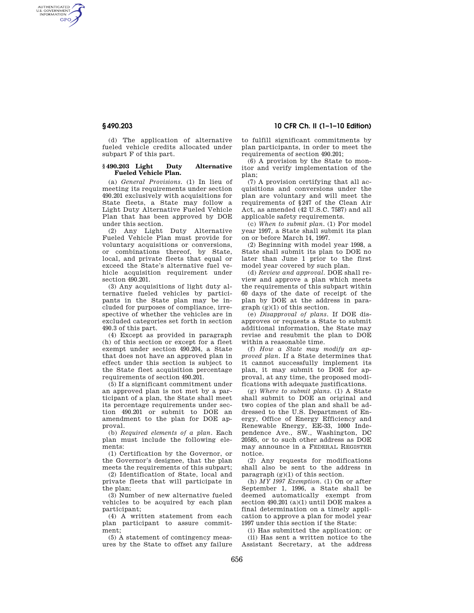AUTHENTICATED<br>U.S. GOVERNMENT<br>INFORMATION **GPO** 

> (d) The application of alternative fueled vehicle credits allocated under subpart F of this part.

## **§ 490.203 Light Duty Alternative Fueled Vehicle Plan.**

(a) *General Provisions.* (1) In lieu of meeting its requirements under section 490.201 exclusively with acquisitions for State fleets, a State may follow a Light Duty Alternative Fueled Vehicle Plan that has been approved by DOE under this section.

(2) Any Light Duty Alternative Fueled Vehicle Plan must provide for voluntary acquisitions or conversions, or combinations thereof, by State, local, and private fleets that equal or exceed the State's alternative fuel vehicle acquisition requirement under section 490.201.

(3) Any acquisitions of light duty alternative fueled vehicles by participants in the State plan may be included for purposes of compliance, irrespective of whether the vehicles are in excluded categories set forth in section 490.3 of this part.

(4) Except as provided in paragraph (h) of this section or except for a fleet exempt under section 490.204, a State that does not have an approved plan in effect under this section is subject to the State fleet acquisition percentage requirements of section 490.201.

(5) If a significant commitment under an approved plan is not met by a participant of a plan, the State shall meet its percentage requirements under section 490.201 or submit to DOE an amendment to the plan for DOE approval.

(b) *Required elements of a plan.* Each plan must include the following elements:

(1) Certification by the Governor, or the Governor's designee, that the plan meets the requirements of this subpart;

(2) Identification of State, local and private fleets that will participate in the plan;

(3) Number of new alternative fueled vehicles to be acquired by each plan participant;

(4) A written statement from each plan participant to assure commitment;

(5) A statement of contingency measures by the State to offset any failure

# **§ 490.203 10 CFR Ch. II (1–1–10 Edition)**

to fulfill significant commitments by plan participants, in order to meet the requirements of section 490.201;

(6) A provision by the State to monitor and verify implementation of the plan;

(7) A provision certifying that all acquisitions and conversions under the plan are voluntary and will meet the requirements of §247 of the Clean Air Act, as amended (42 U.S.C. 7587) and all applicable safety requirements.

(c) *When to submit plan.* (1) For model year 1997, a State shall submit its plan on or before March 14, 1997.

(2) Beginning with model year 1998, a State shall submit its plan to DOE no later than June 1 prior to the first model year covered by such plan.

(d) *Review and approval.* DOE shall review and approve a plan which meets the requirements of this subpart within 60 days of the date of receipt of the plan by DOE at the address in paragraph (g)(1) of this section.

(e) *Disapproval of plans.* If DOE disapproves or requests a State to submit additional information, the State may revise and resubmit the plan to DOE within a reasonable time.

(f) *How a State may modify an approved plan.* If a State determines that it cannot successfully implement its plan, it may submit to DOE for approval, at any time, the proposed modifications with adequate justifications.

(g) *Where to submit plans.* (1) A State shall submit to DOE an original and two copies of the plan and shall be addressed to the U.S. Department of Energy, Office of Energy Efficiency and Renewable Energy, EE-33, 1000 Independence Ave., SW., Washington, DC 20585, or to such other address as DOE may announce in a FEDERAL REGISTER notice.

(2) Any requests for modifications shall also be sent to the address in paragraph (g)(1) of this section.

(h) *MY 1997 Exemption.* (1) On or after September 1, 1996, a State shall be deemed automatically exempt from section 490.201 (a)(1) until DOE makes a final determination on a timely application to approve a plan for model year 1997 under this section if the State:

(i) Has submitted the application; or (ii) Has sent a written notice to the

Assistant Secretary, at the address